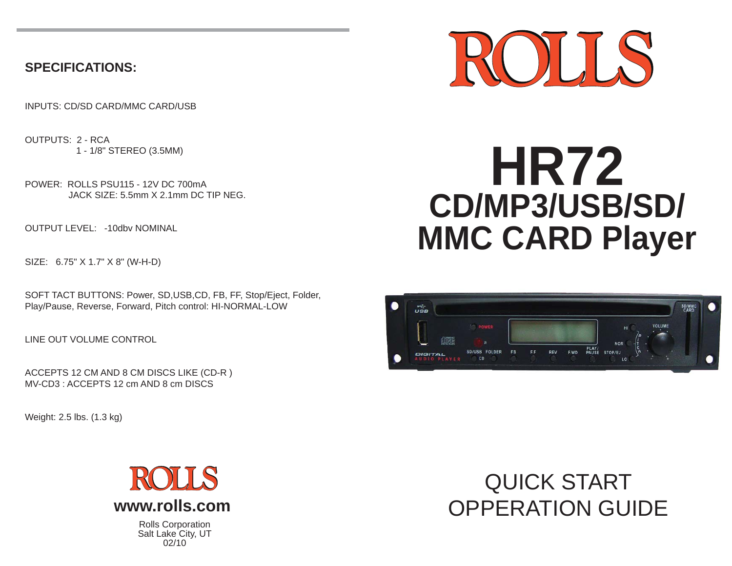# **SPECIFICATIONS:**

INPUTS: CD/SD CARD/MMC CARD/USB

OUTPUTS: 2 - RCA1 - 1/8" STEREO (3.5MM)

POWER: ROLLS PSU115 - 12V DC 700mAJACK SIZE: 5.5mm X 2.1mm DC TIP NEG.

OUTPUT LEVEL: -10dbv NOMINAL

SIZE: 6.75" X 1.7" X 8" (W-H-D)

SOFT TACT BUTTONS: Power, SD,USB,CD, FB, FF, Stop/Eject, Folder, Play/Pause, Reverse, Forward, Pitch control: HI-NORMAL-LOW

LINE OUT VOLUME CONTROL

ACCEPTS 12 CM AND 8 CM DISCS LIKE (CD-R ) MV-CD3 : ACCEPTS 12 cm AND 8 cm DISCS

Weight: 2.5 lbs. (1.3 kg)



Rolls Corporation Salt Lake City, UT 02/10

# $\mathcal{L}$

# **HR72 CD/MP3/USB/SD/ MMC CARD Player**



# QUICK START OPPERATION GUIDE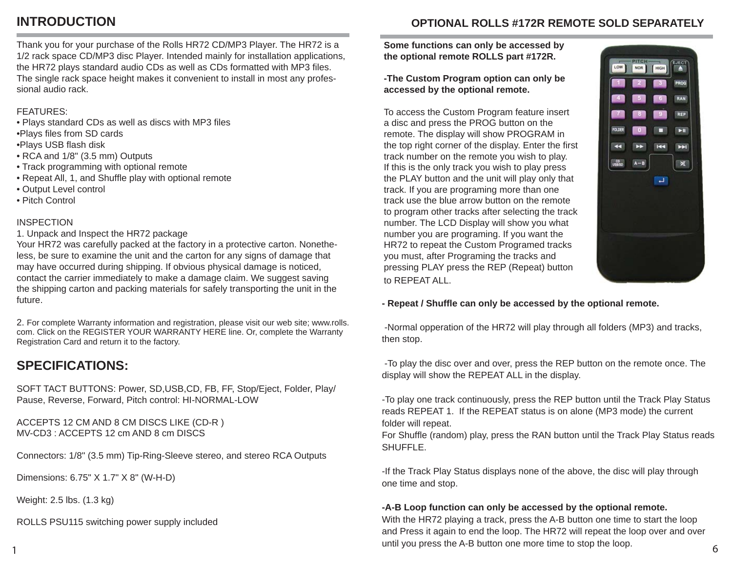# **INTRODUCTION**

**OPTIONAL ROLLS #172R REMOTE SOLD SEPARATELY**

Thank you for your purchase of the Rolls HR72 CD/MP3 Player. The HR72 is a 1/2 rack space CD/MP3 disc Player. Intended mainly for installation applications, the HR72 plays standard audio CDs as well as CDs formatted with MP3 files. The single rack space height makes it convenient to install in most any professional audio rack.

## FEATURES:

- Plays standard CDs as well as discs with MP3 files
- •Plays files from SD cards
- •Plays USB flash disk
- RCA and 1/8" (3.5 mm) Outputs
- Track programming with optional remote
- Repeat All, 1, and Shuffle play with optional remote
- Output Level control
- Pitch Control

### INSPECTION

#### 1. Unpack and Inspect the HR72 package

Your HR72 was carefully packed at the factory in a protective carton. Nonetheless, be sure to examine the unit and the carton for any signs of damage that may have occurred during shipping. If obvious physical damage is noticed, contact the carrier immediately to make a damage claim. We suggest saving the shipping carton and packing materials for safely transporting the unit in the future.

2. For complete Warranty information and registration, please visit our web site; www.rolls. com. Click on the REGISTER YOUR WARRANTY HERE line. Or, complete the Warranty Registration Card and return it to the factory.

# **SPECIFICATIONS:**

SOFT TACT BUTTONS: Power, SD,USB,CD, FB, FF, Stop/Eject, Folder, Play/ Pause, Reverse, Forward, Pitch control: HI-NORMAL-LOW

ACCEPTS 12 CM AND 8 CM DISCS LIKE (CD-R ) MV-CD3 : ACCEPTS 12 cm AND 8 cm DISCS

Connectors: 1/8" (3.5 mm) Tip-Ring-Sleeve stereo, and stereo RCA Outputs

Dimensions: 6.75" X 1.7" X 8" (W-H-D)

Weight: 2.5 lbs. (1.3 kg)

1

ROLLS PSU115 switching power supply included

**Some functions can only be accessed by the optional remote ROLLS part #172R.** 

**-The Custom Program option can only be accessed by the optional remote.**

To access the Custom Program feature insert a disc and press the PROG button on the remote. The display will show PROGRAM in the top right corner of the display. Enter the first track number on the remote you wish to play. If this is the only track you wish to play press the PLAY button and the unit will play only that track. If you are programing more than one track use the blue arrow button on the remote to program other tracks after selecting the track number. The LCD Display will show you what number you are programing. If you want the HR72 to repeat the Custom Programed tracks you must, after Programing the tracks and pressing PLAY press the REP (Repeat) button to REPEAT ALL.



**- Repeat / Shuffl e can only be accessed by the optional remote.**

 -Normal opperation of the HR72 will play through all folders (MP3) and tracks, then stop.

 -To play the disc over and over, press the REP button on the remote once. The display will show the REPEAT ALL in the display.

-To play one track continuously, press the REP button until the Track Play Status reads REPEAT 1. If the REPEAT status is on alone (MP3 mode) the current folder will repeat.

For Shuffle (random) play, press the RAN button until the Track Play Status reads SHUFFLE.

-If the Track Play Status displays none of the above, the disc will play through one time and stop.

# **-A-B Loop function can only be accessed by the optional remote.**

With the HR72 playing a track, press the A-B button one time to start the loop and Press it again to end the loop. The HR72 will repeat the loop over and over until you press the A-B button one more time to stop the loop.  $\frac{1}{2}$  and you probably to batter the more time to step the hope.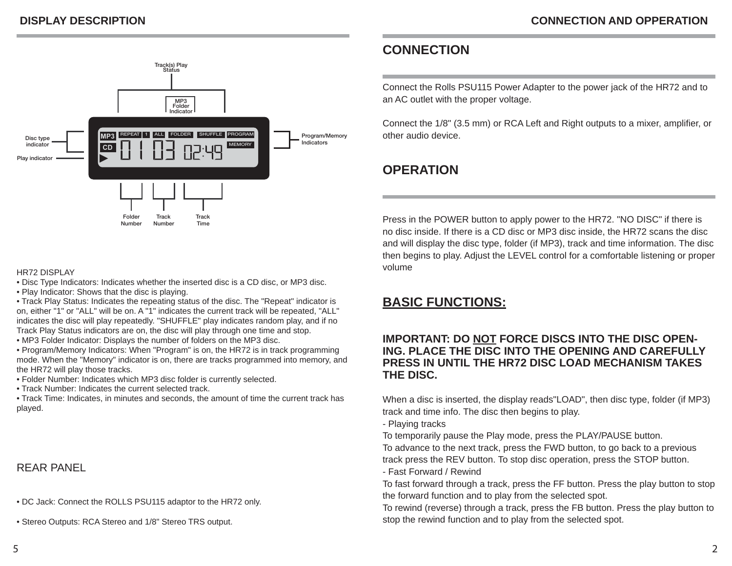

#### HR72 DISPLAY

- Disc Type Indicators: Indicates whether the inserted disc is a CD disc, or MP3 disc.
- Play Indicator: Shows that the disc is playing.

• Track Play Status: Indicates the repeating status of the disc. The "Repeat" indicator is on, either "1" or "ALL" will be on. A "1" indicates the current track will be repeated, "ALL" indicates the disc will play repeatedly. "SHUFFLE" play indicates random play, and if no Track Play Status indicators are on, the disc will play through one time and stop.

- MP3 Folder Indicator: Displays the number of folders on the MP3 disc.
- Program/Memory Indicators: When "Program" is on, the HR72 is in track programming mode. When the "Memory" indicator is on, there are tracks programmed into memory, and the HR72 will play those tracks.
- Folder Number: Indicates which MP3 disc folder is currently selected.
- Track Number: Indicates the current selected track.

• Track Time: Indicates, in minutes and seconds, the amount of time the current track has played.

# REAR PANEL

- DC Jack: Connect the ROLLS PSU115 adaptor to the HR72 only.
- Stereo Outputs: RCA Stereo and 1/8" Stereo TRS output.

# **CONNECTION**

Connect the Rolls PSU115 Power Adapter to the power jack of the HR72 and to an AC outlet with the proper voltage.

Connect the 1/8" (3.5 mm) or RCA Left and Right outputs to a mixer, amplifier, or other audio device.

# **OPERATION**

Press in the POWER button to apply power to the HR72. "NO DISC" if there is no disc inside. If there is a CD disc or MP3 disc inside, the HR72 scans the disc and will display the disc type, folder (if MP3), track and time information. The disc then begins to play. Adjust the LEVEL control for a comfortable listening or proper volume

# **BASIC FUNCTIONS:**

# **IMPORTANT: DO NOT FORCE DISCS INTO THE DISC OPEN-ING. PLACE THE DISC INTO THE OPENING AND CAREFULLY PRESS IN UNTIL THE HR72 DISC LOAD MECHANISM TAKES THE DISC.**

When a disc is inserted, the display reads"LOAD", then disc type, folder (if MP3) track and time info. The disc then begins to play.

- Playing tracks

To temporarily pause the Play mode, press the PLAY/PAUSE button.

To advance to the next track, press the FWD button, to go back to a previous track press the REV button. To stop disc operation, press the STOP button. - Fast Forward / Rewind

To fast forward through a track, press the FF button. Press the play button to stop the forward function and to play from the selected spot.

To rewind (reverse) through a track, press the FB button. Press the play button to stop the rewind function and to play from the selected spot.